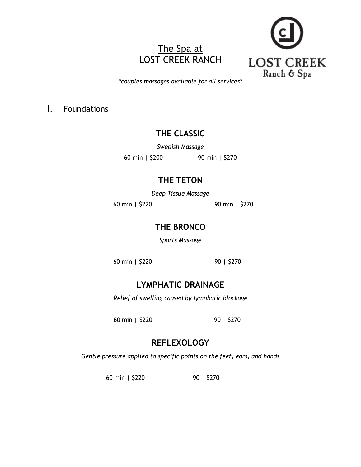# The Spa at LOST CREEK RANCH



*\*couples massages available for all services\**

I. Foundations

## **THE CLASSIC**

*Swedish Massage*

60 min | \$200 90 min | \$270

## **THE TETON**

*Deep Tissue Massage*

60 min | \$220 90 min | \$270

## **THE BRONCO**

*Sports Massage*

60 min | \$220 90 | \$270

# **LYMPHATIC DRAINAGE**

*Relief of swelling caused by lymphatic blockage*

60 min | \$220 90 | \$270

# **REFLEXOLOGY**

*Gentle pressure applied to specific points on the feet, ears, and hands*

60 min | \$220 90 | \$270